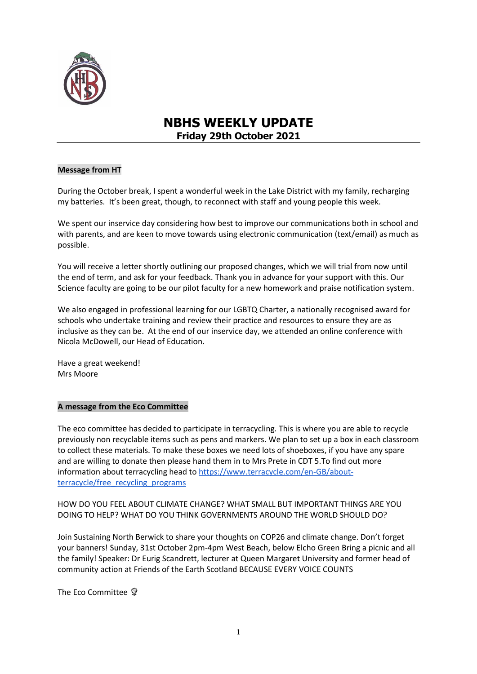

# **NBHS WEEKLY UPDATE Friday 29th October 2021**

# **Message from HT**

During the October break, I spent a wonderful week in the Lake District with my family, recharging my batteries. It's been great, though, to reconnect with staff and young people this week.

We spent our inservice day considering how best to improve our communications both in school and with parents, and are keen to move towards using electronic communication (text/email) as much as possible.

You will receive a letter shortly outlining our proposed changes, which we will trial from now until the end of term, and ask for your feedback. Thank you in advance for your support with this. Our Science faculty are going to be our pilot faculty for a new homework and praise notification system.

We also engaged in professional learning for our LGBTQ Charter, a nationally recognised award for schools who undertake training and review their practice and resources to ensure they are as inclusive as they can be. At the end of our inservice day, we attended an online conference with Nicola McDowell, our Head of Education.

Have a great weekend! Mrs Moore

### **A message from the Eco Committee**

The eco committee has decided to participate in terracycling. This is where you are able to recycle previously non recyclable items such as pens and markers. We plan to set up a box in each classroom to collect these materials. To make these boxes we need lots of shoeboxes, if you have any spare and are willing to donate then please hand them in to Mrs Prete in CDT 5.To find out more information about terracycling head to [https://www.terracycle.com/en-GB/about](https://www.terracycle.com/en-GB/about-terracycle/free_recycling_programs)[terracycle/free\\_recycling\\_programs](https://www.terracycle.com/en-GB/about-terracycle/free_recycling_programs)

HOW DO YOU FEEL ABOUT CLIMATE CHANGE? WHAT SMALL BUT IMPORTANT THINGS ARE YOU DOING TO HELP? WHAT DO YOU THINK GOVERNMENTS AROUND THE WORLD SHOULD DO?

Join Sustaining North Berwick to share your thoughts on COP26 and climate change. Don't forget your banners! Sunday, 31st October 2pm-4pm West Beach, below Elcho Green Bring a picnic and all the family! Speaker: Dr Eurig Scandrett, lecturer at Queen Margaret University and former head of community action at Friends of the Earth Scotland BECAUSE EVERY VOICE COUNTS

The Eco Committee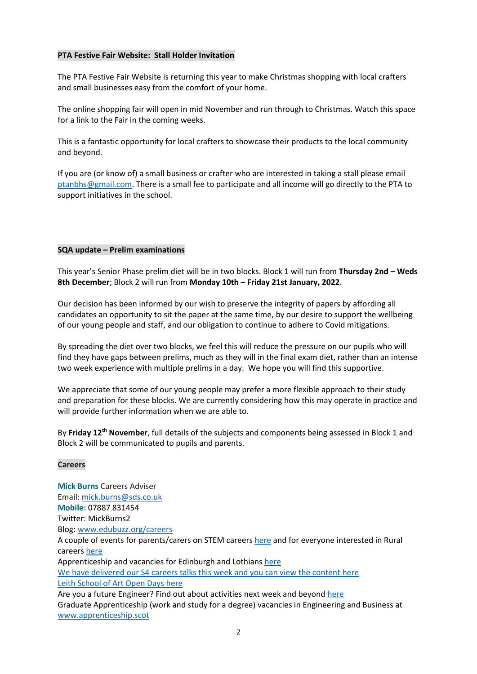# **PTA Festive Fair Website: Stall Holder Invitation**

The PTA Festive Fair Website is returning this year to make Christmas shopping with local crafters and small businesses easy from the comfort of your home.

The online shopping fair will open in mid November and run through to Christmas. Watch this space for a link to the Fair in the coming weeks.

This is a fantastic opportunity for local crafters to showcase their products to the local community and beyond.

If you are (or know of) a small business or crafter who are interested in taking a stall please email [ptanbhs@gmail.com.](mailto:ptanbhs@gmail.com) There is a small fee to participate and all income will go directly to the PTA to support initiatives in the school.

# **SQA update – Prelim examinations**

This year's Senior Phase prelim diet will be in two blocks. Block 1 will run from **Thursday 2nd – Weds 8th December**; Block 2 will run from **Monday 10th – Friday 21st January, 2022**.

Our decision has been informed by our wish to preserve the integrity of papers by affording all candidates an opportunity to sit the paper at the same time, by our desire to support the wellbeing of our young people and staff, and our obligation to continue to adhere to Covid mitigations.

By spreading the diet over two blocks, we feel this will reduce the pressure on our pupils who will find they have gaps between prelims, much as they will in the final exam diet, rather than an intense two week experience with multiple prelims in a day. We hope you will find this supportive.

We appreciate that some of our young people may prefer a more flexible approach to their study and preparation for these blocks. We are currently considering how this may operate in practice and will provide further information when we are able to.

By **Friday 12th November**, full details of the subjects and components being assessed in Block 1 and Block 2 will be communicated to pupils and parents.

### **Careers**

**Mick Burns** Careers Adviser Email: [mick.burns@sds.co.uk](https://mail.elcschool.org.uk/owa/redir.aspx?C=fbGa3DGVrsUoQB2CnJP23eXwMGzxu7J1CtarT6dTOwkq_NlpJujXCA..&URL=mailto%3amick.burns%40sds.co.uk) **Mobile:** 07887 831454 Twitter: MickBurns2 Blog: [www.edubuzz.org/careers](http://www.edubuzz.org/careers) A couple of events for parents/carers on STEM careers [here](https://www.edubuzz.org/careers/2021/10/28/bae-systems-careers-evening/) and for everyone interested in Rural career[s here](https://www.edubuzz.org/careers/2021/10/28/virtrural-careers-event-on-thursday-4th-november/) Apprenticeship and vacancies for Edinburgh and Lothians [here](https://www.edubuzz.org/careers/2021/10/13/vacancies-and-apprenticeships-2/) We have delivered our S4 careers talks this week and you can view the content [here](https://www.edubuzz.org/careers/2021/10/05/s4-careers-talk-september-2021/) Leith School of Art Open Days [here](https://www.edubuzz.org/careers/2021/10/13/leith-school-of-art/) Are you a future Engineer? Find out about activities next week and beyon[d here](https://www.edubuzz.org/careers/2021/10/12/are-you-a-future-engineer/) Graduate Apprenticeship (work and study for a degree) vacancies in Engineering and Business at

[www.apprenticeship.scot](http://www.apprenticeship.scot/)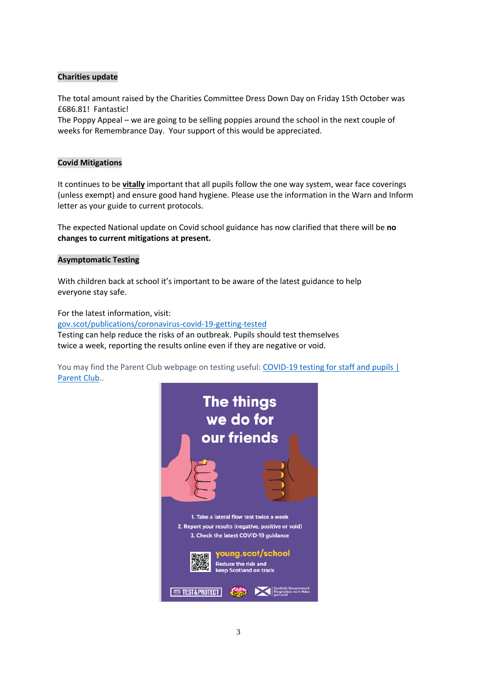# **Charities update**

The total amount raised by the Charities Committee Dress Down Day on Friday 15th October was £686.81! Fantastic!

The Poppy Appeal – we are going to be selling poppies around the school in the next couple of weeks for Remembrance Day. Your support of this would be appreciated.

# **Covid Mitigations**

It continues to be **vitally** important that all pupils follow the one way system, wear face coverings (unless exempt) and ensure good hand hygiene. Please use the information in the Warn and Inform letter as your guide to current protocols.

The expected National update on Covid school guidance has now clarified that there will be **no changes to current mitigations at present.**

### **Asymptomatic Testing**

With children back at school it's important to be aware of the latest guidance to help everyone stay safe.

For the latest information, visit: [gov.scot/publications/coronavirus-covid-19-getting-tested](file://///nb-server1/subjects/Admin/Diane/Weekly%20update/September%202021/gov.scot/publications/coronavirus-covid-19-getting-tested) Testing can help reduce the risks of an outbreak. Pupils should test themselves twice a week, reporting the results online even if they are negative or void.

You may find the Parent Club webpage on testing useful: COVID-19 testing for staff and pupils | [Parent Club.](https://www.parentclub.scot/articles/covid-19-testing-staff-and-pupils).